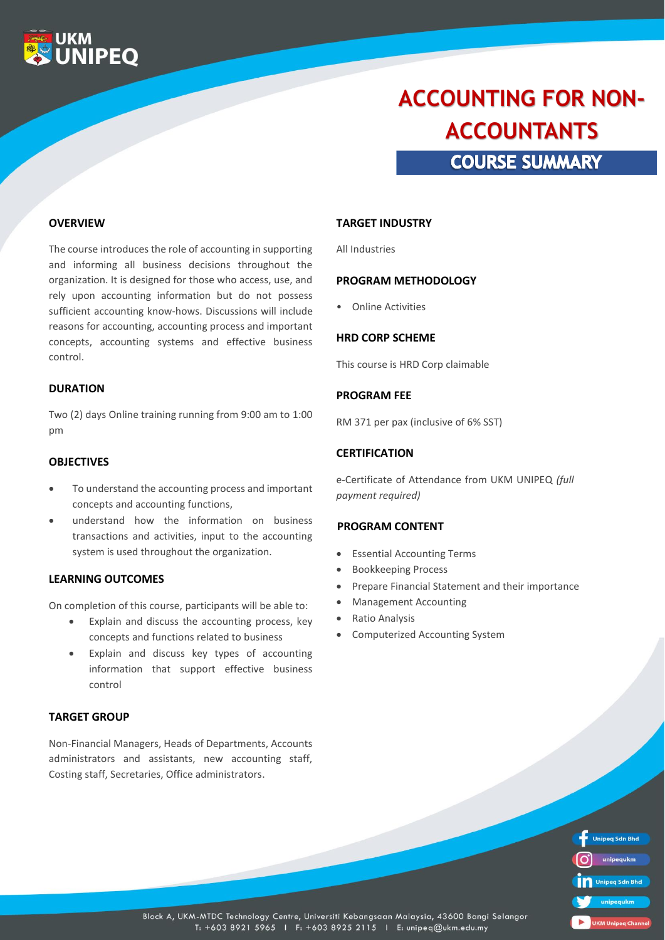

# **COURSE SUMMARY ACCOUNTING FOR NON-ACCOUNTANTS**

#### **OVERVIEW**

The course introduces the role of accounting in supporting and informing all business decisions throughout the organization. It is designed for those who access, use, and rely upon accounting information but do not possess sufficient accounting know-hows. Discussions will include reasons for accounting, accounting process and important concepts, accounting systems and effective business control.

#### **DURATION**

Two (2) days Online training running from 9:00 am to 1:00 pm

#### **OBJECTIVES**

- To understand the accounting process and important concepts and accounting functions,
- understand how the information on business transactions and activities, input to the accounting system is used throughout the organization.

#### **LEARNING OUTCOMES**

On completion of this course, participants will be able to:

- Explain and discuss the accounting process, key concepts and functions related to business
- Explain and discuss key types of accounting information that support effective business control

#### **TARGET GROUP**

Non-Financial Managers, Heads of Departments, Accounts administrators and assistants, new accounting staff, Costing staff, Secretaries, Office administrators.

#### **TARGET INDUSTRY**

All Industries

#### **PROGRAM METHODOLOGY**

• Online Activities

#### **HRD CORP SCHEME**

This course is HRD Corp claimable

#### **PROGRAM FEE**

RM 371 per pax (inclusive of 6% SST)

#### **CERTIFICATION**

e-Certificate of Attendance from UKM UNIPEQ *(full payment required)*

#### **PROGRAM CONTENT**

- Essential Accounting Terms
- Bookkeeping Process
- Prepare Financial Statement and their importance
- Management Accounting
- Ratio Analysis
- Computerized Accounting System

| <b>Unipeg Sdn Bhd</b>     |
|---------------------------|
| unipequkm                 |
| Unipeg Sdn Bhd            |
| unipequkm                 |
| <b>UKM Unipeg Channel</b> |

Block A, UKM-MTDC Technology Centre, Universiti Kebangsaan Malaysia, 43600 Bangi Selangor T: +603 8921 5965 | F: +603 8925 2115 | E: unipeq@ukm.edu.my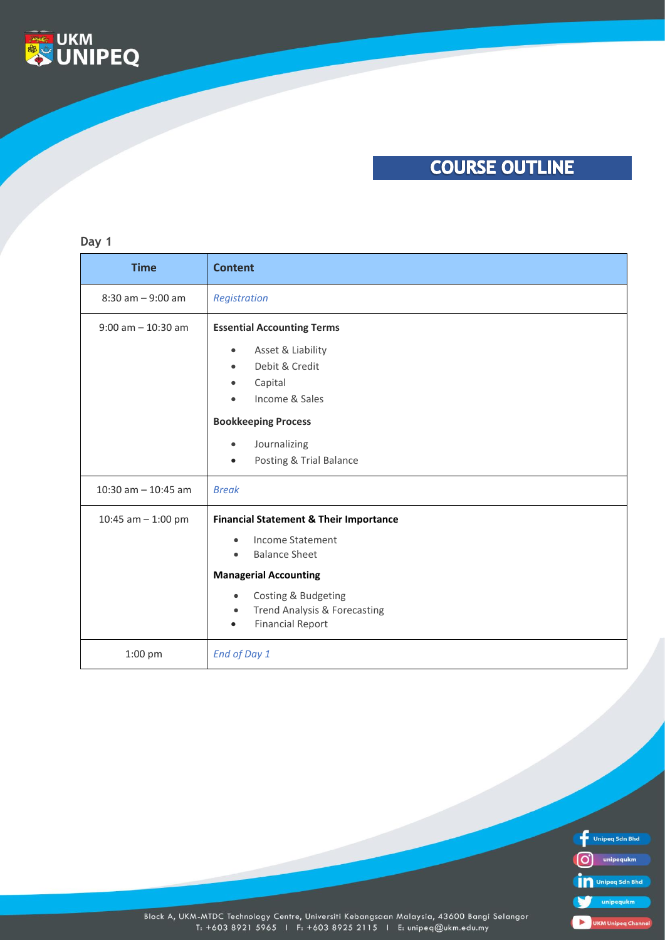

### **COURSE OUTLINE**

#### **Day 1**

| <b>Time</b>           | <b>Content</b>                                                                                                                                                                                                                                                      |
|-----------------------|---------------------------------------------------------------------------------------------------------------------------------------------------------------------------------------------------------------------------------------------------------------------|
| $8:30$ am $-9:00$ am  | Registration                                                                                                                                                                                                                                                        |
| $9:00$ am $-10:30$ am | <b>Essential Accounting Terms</b><br>Asset & Liability<br>$\bullet$<br>Debit & Credit<br>$\bullet$<br>Capital<br>Income & Sales<br><b>Bookkeeping Process</b><br>Journalizing<br>$\bullet$                                                                          |
| 10:30 am $-$ 10:45 am | Posting & Trial Balance<br><b>Break</b>                                                                                                                                                                                                                             |
| 10:45 am $-$ 1:00 pm  | <b>Financial Statement &amp; Their Importance</b><br>Income Statement<br>$\bullet$<br><b>Balance Sheet</b><br>$\bullet$<br><b>Managerial Accounting</b><br>Costing & Budgeting<br>$\bullet$<br>Trend Analysis & Forecasting<br>$\bullet$<br><b>Financial Report</b> |
| 1:00 pm               | End of Day 1                                                                                                                                                                                                                                                        |



Block A, UKM-MTDC Technology Centre, Universiti Kebangsaan Malaysia, 43600 Bangi Selangor<br>T: +603 8921 5965 1 F: +603 8925 2115 1 E: unipeq@ukm.edu.my